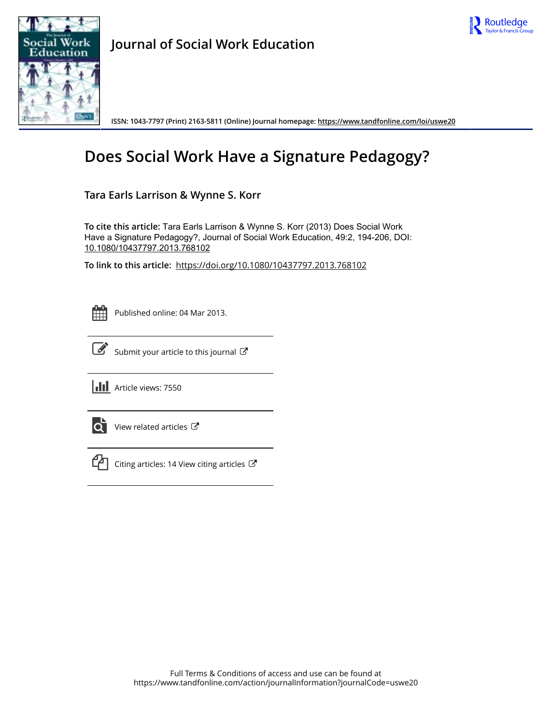



**Journal of Social Work Education**

**ISSN: 1043-7797 (Print) 2163-5811 (Online) Journal homepage:<https://www.tandfonline.com/loi/uswe20>**

# **Does Social Work Have a Signature Pedagogy?**

**Tara Earls Larrison & Wynne S. Korr**

**To cite this article:** Tara Earls Larrison & Wynne S. Korr (2013) Does Social Work Have a Signature Pedagogy?, Journal of Social Work Education, 49:2, 194-206, DOI: [10.1080/10437797.2013.768102](https://www.tandfonline.com/action/showCitFormats?doi=10.1080/10437797.2013.768102)

**To link to this article:** <https://doi.org/10.1080/10437797.2013.768102>



Published online: 04 Mar 2013.



 $\overrightarrow{S}$  [Submit your article to this journal](https://www.tandfonline.com/action/authorSubmission?journalCode=uswe20&show=instructions)  $\overrightarrow{S}$ 

**III** Article views: 7550



 $\overrightarrow{Q}$  [View related articles](https://www.tandfonline.com/doi/mlt/10.1080/10437797.2013.768102)  $\overrightarrow{C}$ 



 $\mathbb{C}$  [Citing articles: 14 View citing articles](https://www.tandfonline.com/doi/citedby/10.1080/10437797.2013.768102#tabModule)  $\mathbb{C}$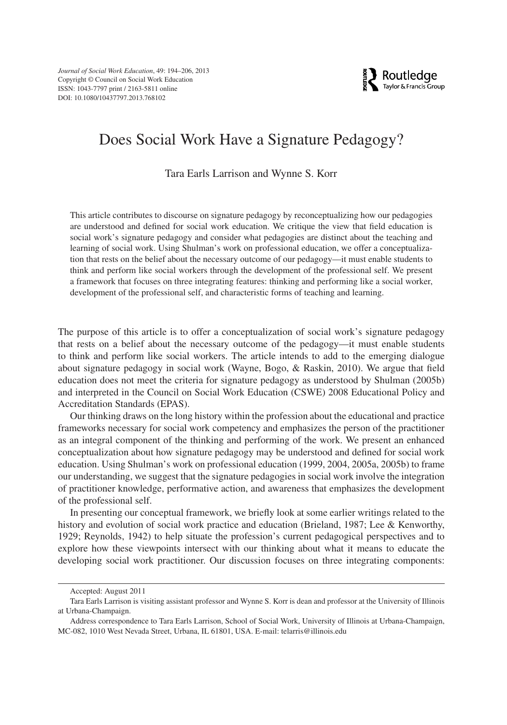

# Does Social Work Have a Signature Pedagogy?

### Tara Earls Larrison and Wynne S. Korr

This article contributes to discourse on signature pedagogy by reconceptualizing how our pedagogies are understood and defined for social work education. We critique the view that field education is social work's signature pedagogy and consider what pedagogies are distinct about the teaching and learning of social work. Using Shulman's work on professional education, we offer a conceptualization that rests on the belief about the necessary outcome of our pedagogy—it must enable students to think and perform like social workers through the development of the professional self. We present a framework that focuses on three integrating features: thinking and performing like a social worker, development of the professional self, and characteristic forms of teaching and learning.

The purpose of this article is to offer a conceptualization of social work's signature pedagogy that rests on a belief about the necessary outcome of the pedagogy—it must enable students to think and perform like social workers. The article intends to add to the emerging dialogue about signature pedagogy in social work (Wayne, Bogo, & Raskin, 2010). We argue that field education does not meet the criteria for signature pedagogy as understood by Shulman (2005b) and interpreted in the Council on Social Work Education (CSWE) 2008 Educational Policy and Accreditation Standards (EPAS).

Our thinking draws on the long history within the profession about the educational and practice frameworks necessary for social work competency and emphasizes the person of the practitioner as an integral component of the thinking and performing of the work. We present an enhanced conceptualization about how signature pedagogy may be understood and defined for social work education. Using Shulman's work on professional education (1999, 2004, 2005a, 2005b) to frame our understanding, we suggest that the signature pedagogies in social work involve the integration of practitioner knowledge, performative action, and awareness that emphasizes the development of the professional self.

In presenting our conceptual framework, we briefly look at some earlier writings related to the history and evolution of social work practice and education (Brieland, 1987; Lee & Kenworthy, 1929; Reynolds, 1942) to help situate the profession's current pedagogical perspectives and to explore how these viewpoints intersect with our thinking about what it means to educate the developing social work practitioner. Our discussion focuses on three integrating components:

Accepted: August 2011

Tara Earls Larrison is visiting assistant professor and Wynne S. Korr is dean and professor at the University of Illinois at Urbana-Champaign.

Address correspondence to Tara Earls Larrison, School of Social Work, University of Illinois at Urbana-Champaign, MC-082, 1010 West Nevada Street, Urbana, IL 61801, USA. E-mail: telarris@illinois.edu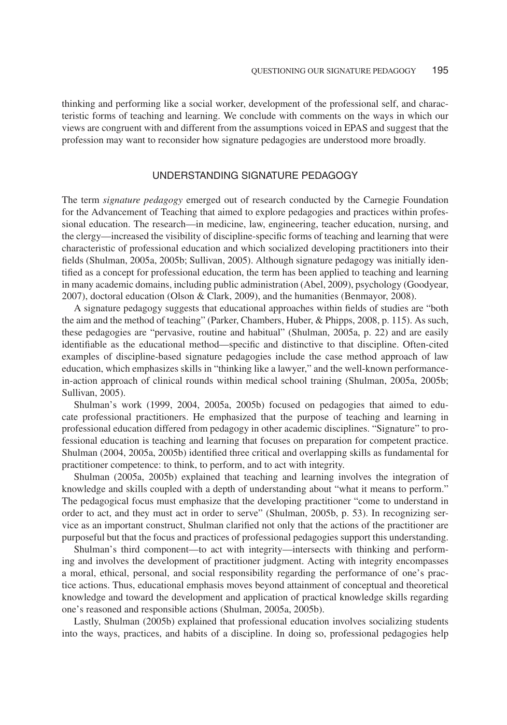thinking and performing like a social worker, development of the professional self, and characteristic forms of teaching and learning. We conclude with comments on the ways in which our views are congruent with and different from the assumptions voiced in EPAS and suggest that the profession may want to reconsider how signature pedagogies are understood more broadly.

# UNDERSTANDING SIGNATURE PEDAGOGY

The term *signature pedagogy* emerged out of research conducted by the Carnegie Foundation for the Advancement of Teaching that aimed to explore pedagogies and practices within professional education. The research—in medicine, law, engineering, teacher education, nursing, and the clergy—increased the visibility of discipline-specific forms of teaching and learning that were characteristic of professional education and which socialized developing practitioners into their fields (Shulman, 2005a, 2005b; Sullivan, 2005). Although signature pedagogy was initially identified as a concept for professional education, the term has been applied to teaching and learning in many academic domains, including public administration (Abel, 2009), psychology (Goodyear, 2007), doctoral education (Olson & Clark, 2009), and the humanities (Benmayor, 2008).

A signature pedagogy suggests that educational approaches within fields of studies are "both the aim and the method of teaching" (Parker, Chambers, Huber, & Phipps, 2008, p. 115). As such, these pedagogies are "pervasive, routine and habitual" (Shulman, 2005a, p. 22) and are easily identifiable as the educational method—specific and distinctive to that discipline. Often-cited examples of discipline-based signature pedagogies include the case method approach of law education, which emphasizes skills in "thinking like a lawyer," and the well-known performancein-action approach of clinical rounds within medical school training (Shulman, 2005a, 2005b; Sullivan, 2005).

Shulman's work (1999, 2004, 2005a, 2005b) focused on pedagogies that aimed to educate professional practitioners. He emphasized that the purpose of teaching and learning in professional education differed from pedagogy in other academic disciplines. "Signature" to professional education is teaching and learning that focuses on preparation for competent practice. Shulman (2004, 2005a, 2005b) identified three critical and overlapping skills as fundamental for practitioner competence: to think, to perform, and to act with integrity.

Shulman (2005a, 2005b) explained that teaching and learning involves the integration of knowledge and skills coupled with a depth of understanding about "what it means to perform." The pedagogical focus must emphasize that the developing practitioner "come to understand in order to act, and they must act in order to serve" (Shulman, 2005b, p. 53). In recognizing service as an important construct, Shulman clarified not only that the actions of the practitioner are purposeful but that the focus and practices of professional pedagogies support this understanding.

Shulman's third component—to act with integrity—intersects with thinking and performing and involves the development of practitioner judgment. Acting with integrity encompasses a moral, ethical, personal, and social responsibility regarding the performance of one's practice actions. Thus, educational emphasis moves beyond attainment of conceptual and theoretical knowledge and toward the development and application of practical knowledge skills regarding one's reasoned and responsible actions (Shulman, 2005a, 2005b).

Lastly, Shulman (2005b) explained that professional education involves socializing students into the ways, practices, and habits of a discipline. In doing so, professional pedagogies help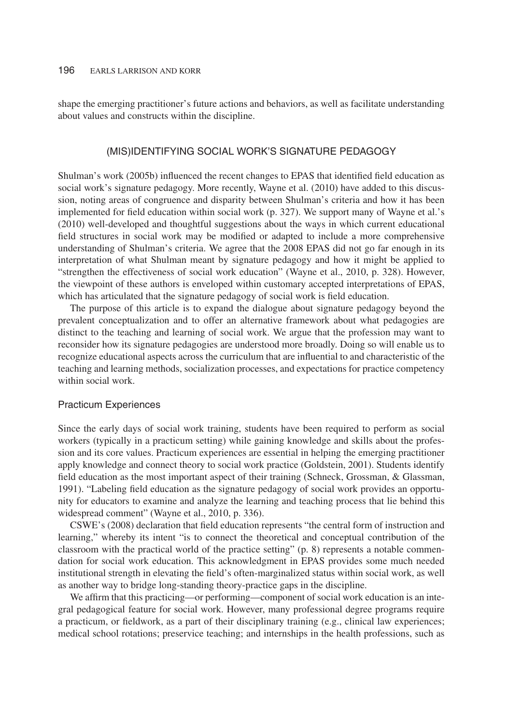shape the emerging practitioner's future actions and behaviors, as well as facilitate understanding about values and constructs within the discipline.

#### (MIS)IDENTIFYING SOCIAL WORK'S SIGNATURE PEDAGOGY

Shulman's work (2005b) influenced the recent changes to EPAS that identified field education as social work's signature pedagogy. More recently, Wayne et al. (2010) have added to this discussion, noting areas of congruence and disparity between Shulman's criteria and how it has been implemented for field education within social work (p. 327). We support many of Wayne et al.'s (2010) well-developed and thoughtful suggestions about the ways in which current educational field structures in social work may be modified or adapted to include a more comprehensive understanding of Shulman's criteria. We agree that the 2008 EPAS did not go far enough in its interpretation of what Shulman meant by signature pedagogy and how it might be applied to "strengthen the effectiveness of social work education" (Wayne et al., 2010, p. 328). However, the viewpoint of these authors is enveloped within customary accepted interpretations of EPAS, which has articulated that the signature pedagogy of social work is field education.

The purpose of this article is to expand the dialogue about signature pedagogy beyond the prevalent conceptualization and to offer an alternative framework about what pedagogies are distinct to the teaching and learning of social work. We argue that the profession may want to reconsider how its signature pedagogies are understood more broadly. Doing so will enable us to recognize educational aspects across the curriculum that are influential to and characteristic of the teaching and learning methods, socialization processes, and expectations for practice competency within social work.

#### Practicum Experiences

Since the early days of social work training, students have been required to perform as social workers (typically in a practicum setting) while gaining knowledge and skills about the profession and its core values. Practicum experiences are essential in helping the emerging practitioner apply knowledge and connect theory to social work practice (Goldstein, 2001). Students identify field education as the most important aspect of their training (Schneck, Grossman, & Glassman, 1991). "Labeling field education as the signature pedagogy of social work provides an opportunity for educators to examine and analyze the learning and teaching process that lie behind this widespread comment" (Wayne et al., 2010, p. 336).

CSWE's (2008) declaration that field education represents "the central form of instruction and learning," whereby its intent "is to connect the theoretical and conceptual contribution of the classroom with the practical world of the practice setting" (p. 8) represents a notable commendation for social work education. This acknowledgment in EPAS provides some much needed institutional strength in elevating the field's often-marginalized status within social work, as well as another way to bridge long-standing theory-practice gaps in the discipline.

We affirm that this practicing—or performing—component of social work education is an integral pedagogical feature for social work. However, many professional degree programs require a practicum, or fieldwork, as a part of their disciplinary training (e.g., clinical law experiences; medical school rotations; preservice teaching; and internships in the health professions, such as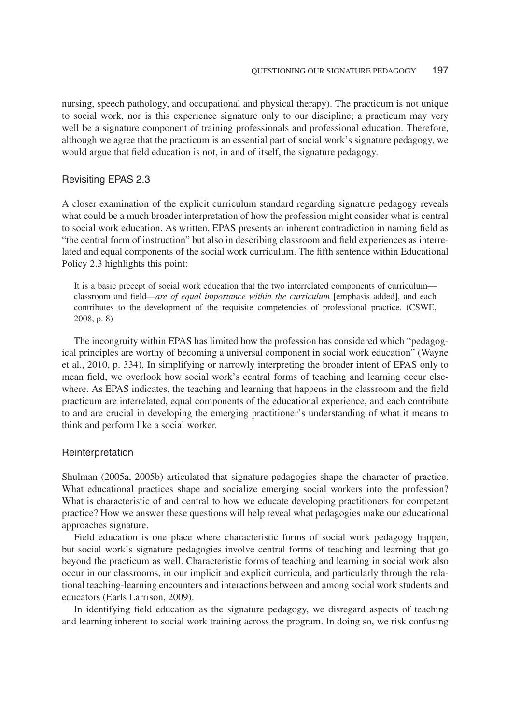nursing, speech pathology, and occupational and physical therapy). The practicum is not unique to social work, nor is this experience signature only to our discipline; a practicum may very well be a signature component of training professionals and professional education. Therefore, although we agree that the practicum is an essential part of social work's signature pedagogy, we would argue that field education is not, in and of itself, the signature pedagogy.

#### Revisiting EPAS 2.3

A closer examination of the explicit curriculum standard regarding signature pedagogy reveals what could be a much broader interpretation of how the profession might consider what is central to social work education. As written, EPAS presents an inherent contradiction in naming field as "the central form of instruction" but also in describing classroom and field experiences as interrelated and equal components of the social work curriculum. The fifth sentence within Educational Policy 2.3 highlights this point:

It is a basic precept of social work education that the two interrelated components of curriculum classroom and field—*are of equal importance within the curriculum* [emphasis added], and each contributes to the development of the requisite competencies of professional practice. (CSWE, 2008, p. 8)

The incongruity within EPAS has limited how the profession has considered which "pedagogical principles are worthy of becoming a universal component in social work education" (Wayne et al., 2010, p. 334). In simplifying or narrowly interpreting the broader intent of EPAS only to mean field, we overlook how social work's central forms of teaching and learning occur elsewhere. As EPAS indicates, the teaching and learning that happens in the classroom and the field practicum are interrelated, equal components of the educational experience, and each contribute to and are crucial in developing the emerging practitioner's understanding of what it means to think and perform like a social worker.

#### Reinterpretation

Shulman (2005a, 2005b) articulated that signature pedagogies shape the character of practice. What educational practices shape and socialize emerging social workers into the profession? What is characteristic of and central to how we educate developing practitioners for competent practice? How we answer these questions will help reveal what pedagogies make our educational approaches signature.

Field education is one place where characteristic forms of social work pedagogy happen, but social work's signature pedagogies involve central forms of teaching and learning that go beyond the practicum as well. Characteristic forms of teaching and learning in social work also occur in our classrooms, in our implicit and explicit curricula, and particularly through the relational teaching-learning encounters and interactions between and among social work students and educators (Earls Larrison, 2009).

In identifying field education as the signature pedagogy, we disregard aspects of teaching and learning inherent to social work training across the program. In doing so, we risk confusing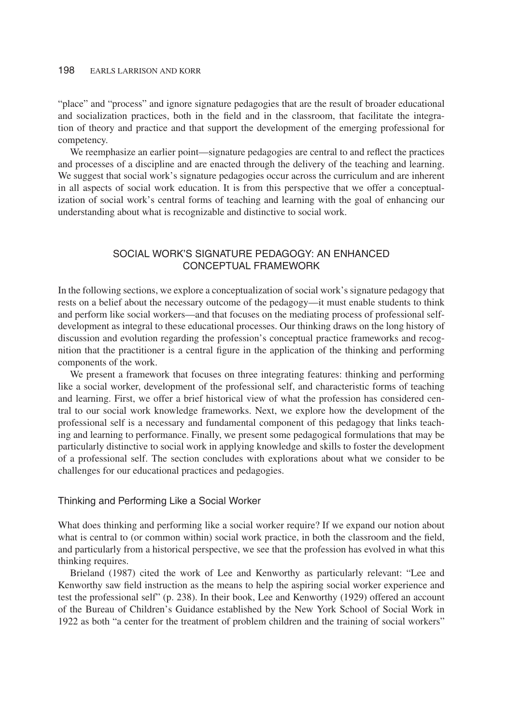"place" and "process" and ignore signature pedagogies that are the result of broader educational and socialization practices, both in the field and in the classroom, that facilitate the integration of theory and practice and that support the development of the emerging professional for competency.

We reemphasize an earlier point—signature pedagogies are central to and reflect the practices and processes of a discipline and are enacted through the delivery of the teaching and learning. We suggest that social work's signature pedagogies occur across the curriculum and are inherent in all aspects of social work education. It is from this perspective that we offer a conceptualization of social work's central forms of teaching and learning with the goal of enhancing our understanding about what is recognizable and distinctive to social work.

# SOCIAL WORK'S SIGNATURE PEDAGOGY: AN ENHANCED CONCEPTUAL FRAMEWORK

In the following sections, we explore a conceptualization of social work's signature pedagogy that rests on a belief about the necessary outcome of the pedagogy—it must enable students to think and perform like social workers—and that focuses on the mediating process of professional selfdevelopment as integral to these educational processes. Our thinking draws on the long history of discussion and evolution regarding the profession's conceptual practice frameworks and recognition that the practitioner is a central figure in the application of the thinking and performing components of the work.

We present a framework that focuses on three integrating features: thinking and performing like a social worker, development of the professional self, and characteristic forms of teaching and learning. First, we offer a brief historical view of what the profession has considered central to our social work knowledge frameworks. Next, we explore how the development of the professional self is a necessary and fundamental component of this pedagogy that links teaching and learning to performance. Finally, we present some pedagogical formulations that may be particularly distinctive to social work in applying knowledge and skills to foster the development of a professional self. The section concludes with explorations about what we consider to be challenges for our educational practices and pedagogies.

#### Thinking and Performing Like a Social Worker

What does thinking and performing like a social worker require? If we expand our notion about what is central to (or common within) social work practice, in both the classroom and the field, and particularly from a historical perspective, we see that the profession has evolved in what this thinking requires.

Brieland (1987) cited the work of Lee and Kenworthy as particularly relevant: "Lee and Kenworthy saw field instruction as the means to help the aspiring social worker experience and test the professional self" (p. 238). In their book, Lee and Kenworthy (1929) offered an account of the Bureau of Children's Guidance established by the New York School of Social Work in 1922 as both "a center for the treatment of problem children and the training of social workers"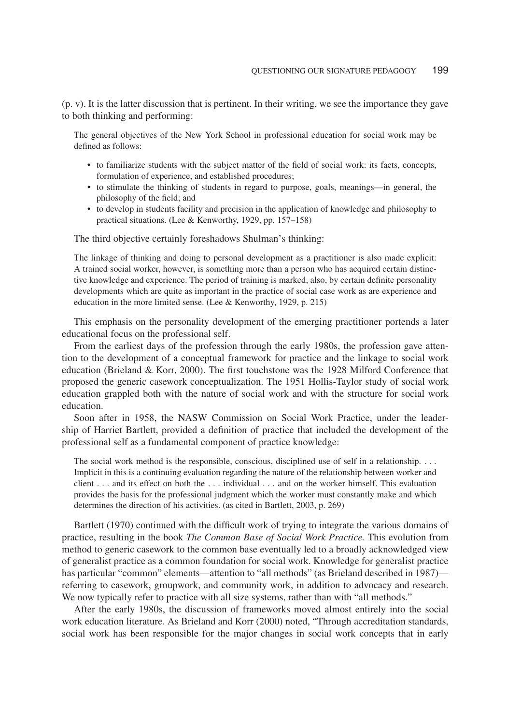(p. v). It is the latter discussion that is pertinent. In their writing, we see the importance they gave to both thinking and performing:

The general objectives of the New York School in professional education for social work may be defined as follows:

- to familiarize students with the subject matter of the field of social work: its facts, concepts, formulation of experience, and established procedures;
- to stimulate the thinking of students in regard to purpose, goals, meanings—in general, the philosophy of the field; and
- to develop in students facility and precision in the application of knowledge and philosophy to practical situations. (Lee & Kenworthy, 1929, pp. 157–158)

The third objective certainly foreshadows Shulman's thinking:

The linkage of thinking and doing to personal development as a practitioner is also made explicit: A trained social worker, however, is something more than a person who has acquired certain distinctive knowledge and experience. The period of training is marked, also, by certain definite personality developments which are quite as important in the practice of social case work as are experience and education in the more limited sense. (Lee & Kenworthy, 1929, p. 215)

This emphasis on the personality development of the emerging practitioner portends a later educational focus on the professional self.

From the earliest days of the profession through the early 1980s, the profession gave attention to the development of a conceptual framework for practice and the linkage to social work education (Brieland & Korr, 2000). The first touchstone was the 1928 Milford Conference that proposed the generic casework conceptualization. The 1951 Hollis-Taylor study of social work education grappled both with the nature of social work and with the structure for social work education.

Soon after in 1958, the NASW Commission on Social Work Practice, under the leadership of Harriet Bartlett, provided a definition of practice that included the development of the professional self as a fundamental component of practice knowledge:

The social work method is the responsible, conscious, disciplined use of self in a relationship. *...* Implicit in this is a continuing evaluation regarding the nature of the relationship between worker and client *...* and its effect on both the *...* individual *...* and on the worker himself. This evaluation provides the basis for the professional judgment which the worker must constantly make and which determines the direction of his activities. (as cited in Bartlett, 2003, p. 269)

Bartlett (1970) continued with the difficult work of trying to integrate the various domains of practice, resulting in the book *The Common Base of Social Work Practice.* This evolution from method to generic casework to the common base eventually led to a broadly acknowledged view of generalist practice as a common foundation for social work. Knowledge for generalist practice has particular "common" elements—attention to "all methods" (as Brieland described in 1987) referring to casework, groupwork, and community work, in addition to advocacy and research. We now typically refer to practice with all size systems, rather than with "all methods."

After the early 1980s, the discussion of frameworks moved almost entirely into the social work education literature. As Brieland and Korr (2000) noted, "Through accreditation standards, social work has been responsible for the major changes in social work concepts that in early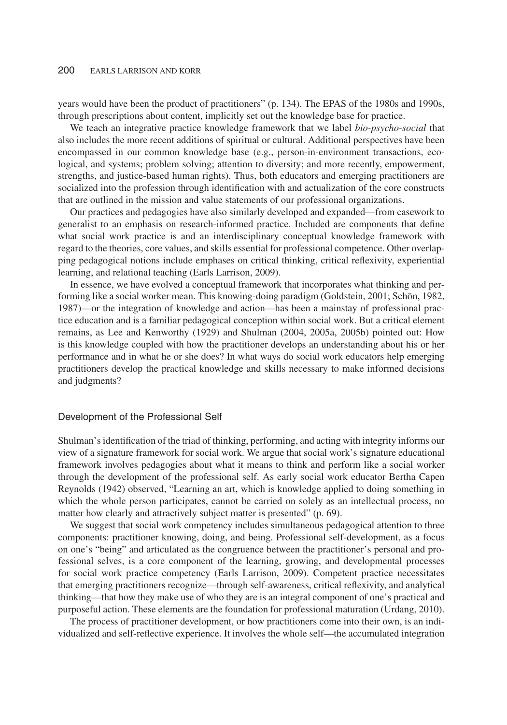years would have been the product of practitioners" (p. 134). The EPAS of the 1980s and 1990s, through prescriptions about content, implicitly set out the knowledge base for practice.

We teach an integrative practice knowledge framework that we label *bio-psycho-social* that also includes the more recent additions of spiritual or cultural. Additional perspectives have been encompassed in our common knowledge base (e.g., person-in-environment transactions, ecological, and systems; problem solving; attention to diversity; and more recently, empowerment, strengths, and justice-based human rights). Thus, both educators and emerging practitioners are socialized into the profession through identification with and actualization of the core constructs that are outlined in the mission and value statements of our professional organizations.

Our practices and pedagogies have also similarly developed and expanded—from casework to generalist to an emphasis on research-informed practice. Included are components that define what social work practice is and an interdisciplinary conceptual knowledge framework with regard to the theories, core values, and skills essential for professional competence. Other overlapping pedagogical notions include emphases on critical thinking, critical reflexivity, experiential learning, and relational teaching (Earls Larrison, 2009).

In essence, we have evolved a conceptual framework that incorporates what thinking and performing like a social worker mean. This knowing-doing paradigm (Goldstein, 2001; Schön, 1982, 1987)—or the integration of knowledge and action—has been a mainstay of professional practice education and is a familiar pedagogical conception within social work. But a critical element remains, as Lee and Kenworthy (1929) and Shulman (2004, 2005a, 2005b) pointed out: How is this knowledge coupled with how the practitioner develops an understanding about his or her performance and in what he or she does? In what ways do social work educators help emerging practitioners develop the practical knowledge and skills necessary to make informed decisions and judgments?

#### Development of the Professional Self

Shulman's identification of the triad of thinking, performing, and acting with integrity informs our view of a signature framework for social work. We argue that social work's signature educational framework involves pedagogies about what it means to think and perform like a social worker through the development of the professional self. As early social work educator Bertha Capen Reynolds (1942) observed, "Learning an art, which is knowledge applied to doing something in which the whole person participates, cannot be carried on solely as an intellectual process, no matter how clearly and attractively subject matter is presented" (p. 69).

We suggest that social work competency includes simultaneous pedagogical attention to three components: practitioner knowing, doing, and being. Professional self-development, as a focus on one's "being" and articulated as the congruence between the practitioner's personal and professional selves, is a core component of the learning, growing, and developmental processes for social work practice competency (Earls Larrison, 2009). Competent practice necessitates that emerging practitioners recognize—through self-awareness, critical reflexivity, and analytical thinking—that how they make use of who they are is an integral component of one's practical and purposeful action. These elements are the foundation for professional maturation (Urdang, 2010).

The process of practitioner development, or how practitioners come into their own, is an individualized and self-reflective experience. It involves the whole self—the accumulated integration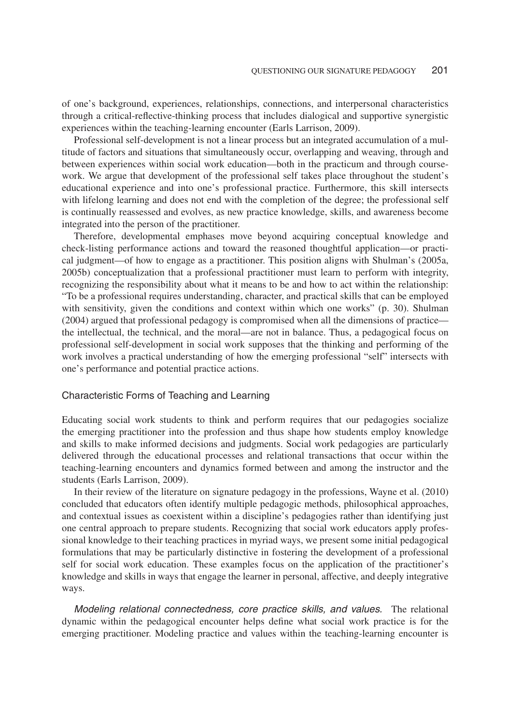of one's background, experiences, relationships, connections, and interpersonal characteristics through a critical-reflective-thinking process that includes dialogical and supportive synergistic experiences within the teaching-learning encounter (Earls Larrison, 2009).

Professional self-development is not a linear process but an integrated accumulation of a multitude of factors and situations that simultaneously occur, overlapping and weaving, through and between experiences within social work education—both in the practicum and through coursework. We argue that development of the professional self takes place throughout the student's educational experience and into one's professional practice. Furthermore, this skill intersects with lifelong learning and does not end with the completion of the degree; the professional self is continually reassessed and evolves, as new practice knowledge, skills, and awareness become integrated into the person of the practitioner.

Therefore, developmental emphases move beyond acquiring conceptual knowledge and check-listing performance actions and toward the reasoned thoughtful application—or practical judgment—of how to engage as a practitioner. This position aligns with Shulman's (2005a, 2005b) conceptualization that a professional practitioner must learn to perform with integrity, recognizing the responsibility about what it means to be and how to act within the relationship: "To be a professional requires understanding, character, and practical skills that can be employed with sensitivity, given the conditions and context within which one works" (p. 30). Shulman (2004) argued that professional pedagogy is compromised when all the dimensions of practice the intellectual, the technical, and the moral—are not in balance. Thus, a pedagogical focus on professional self-development in social work supposes that the thinking and performing of the work involves a practical understanding of how the emerging professional "self" intersects with one's performance and potential practice actions.

# Characteristic Forms of Teaching and Learning

Educating social work students to think and perform requires that our pedagogies socialize the emerging practitioner into the profession and thus shape how students employ knowledge and skills to make informed decisions and judgments. Social work pedagogies are particularly delivered through the educational processes and relational transactions that occur within the teaching-learning encounters and dynamics formed between and among the instructor and the students (Earls Larrison, 2009).

In their review of the literature on signature pedagogy in the professions, Wayne et al. (2010) concluded that educators often identify multiple pedagogic methods, philosophical approaches, and contextual issues as coexistent within a discipline's pedagogies rather than identifying just one central approach to prepare students. Recognizing that social work educators apply professional knowledge to their teaching practices in myriad ways, we present some initial pedagogical formulations that may be particularly distinctive in fostering the development of a professional self for social work education. These examples focus on the application of the practitioner's knowledge and skills in ways that engage the learner in personal, affective, and deeply integrative ways.

*Modeling relational connectedness, core practice skills, and values.* The relational dynamic within the pedagogical encounter helps define what social work practice is for the emerging practitioner. Modeling practice and values within the teaching-learning encounter is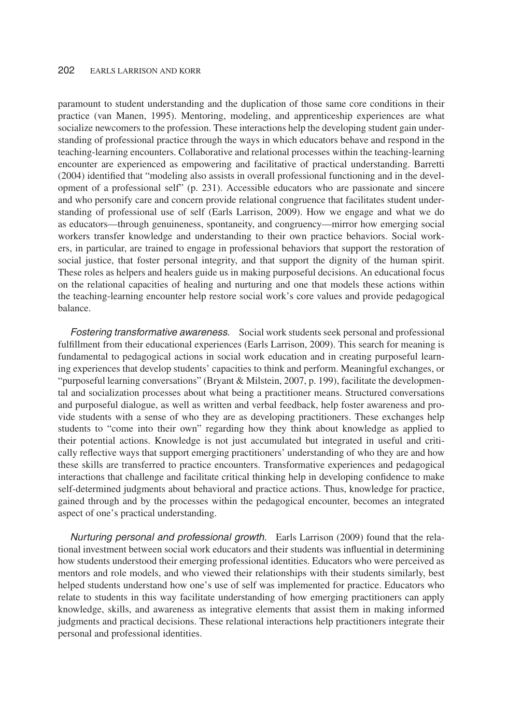paramount to student understanding and the duplication of those same core conditions in their practice (van Manen, 1995). Mentoring, modeling, and apprenticeship experiences are what socialize newcomers to the profession. These interactions help the developing student gain understanding of professional practice through the ways in which educators behave and respond in the teaching-learning encounters. Collaborative and relational processes within the teaching-learning encounter are experienced as empowering and facilitative of practical understanding. Barretti (2004) identified that "modeling also assists in overall professional functioning and in the development of a professional self" (p. 231). Accessible educators who are passionate and sincere and who personify care and concern provide relational congruence that facilitates student understanding of professional use of self (Earls Larrison, 2009). How we engage and what we do as educators—through genuineness, spontaneity, and congruency—mirror how emerging social workers transfer knowledge and understanding to their own practice behaviors. Social workers, in particular, are trained to engage in professional behaviors that support the restoration of social justice, that foster personal integrity, and that support the dignity of the human spirit. These roles as helpers and healers guide us in making purposeful decisions. An educational focus on the relational capacities of healing and nurturing and one that models these actions within the teaching-learning encounter help restore social work's core values and provide pedagogical balance.

*Fostering transformative awareness.* Social work students seek personal and professional fulfillment from their educational experiences (Earls Larrison, 2009). This search for meaning is fundamental to pedagogical actions in social work education and in creating purposeful learning experiences that develop students' capacities to think and perform. Meaningful exchanges, or "purposeful learning conversations" (Bryant & Milstein, 2007, p. 199), facilitate the developmental and socialization processes about what being a practitioner means. Structured conversations and purposeful dialogue, as well as written and verbal feedback, help foster awareness and provide students with a sense of who they are as developing practitioners. These exchanges help students to "come into their own" regarding how they think about knowledge as applied to their potential actions. Knowledge is not just accumulated but integrated in useful and critically reflective ways that support emerging practitioners' understanding of who they are and how these skills are transferred to practice encounters. Transformative experiences and pedagogical interactions that challenge and facilitate critical thinking help in developing confidence to make self-determined judgments about behavioral and practice actions. Thus, knowledge for practice, gained through and by the processes within the pedagogical encounter, becomes an integrated aspect of one's practical understanding.

*Nurturing personal and professional growth.* Earls Larrison (2009) found that the relational investment between social work educators and their students was influential in determining how students understood their emerging professional identities. Educators who were perceived as mentors and role models, and who viewed their relationships with their students similarly, best helped students understand how one's use of self was implemented for practice. Educators who relate to students in this way facilitate understanding of how emerging practitioners can apply knowledge, skills, and awareness as integrative elements that assist them in making informed judgments and practical decisions. These relational interactions help practitioners integrate their personal and professional identities.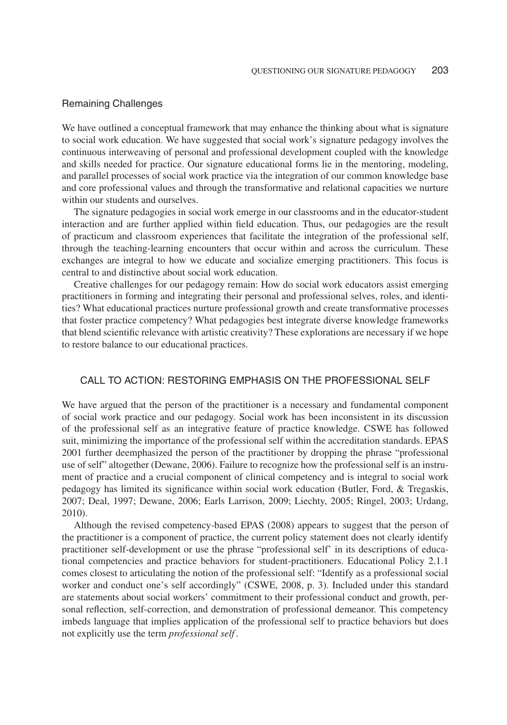#### Remaining Challenges

We have outlined a conceptual framework that may enhance the thinking about what is signature to social work education. We have suggested that social work's signature pedagogy involves the continuous interweaving of personal and professional development coupled with the knowledge and skills needed for practice. Our signature educational forms lie in the mentoring, modeling, and parallel processes of social work practice via the integration of our common knowledge base and core professional values and through the transformative and relational capacities we nurture within our students and ourselves.

The signature pedagogies in social work emerge in our classrooms and in the educator-student interaction and are further applied within field education. Thus, our pedagogies are the result of practicum and classroom experiences that facilitate the integration of the professional self, through the teaching-learning encounters that occur within and across the curriculum. These exchanges are integral to how we educate and socialize emerging practitioners. This focus is central to and distinctive about social work education.

Creative challenges for our pedagogy remain: How do social work educators assist emerging practitioners in forming and integrating their personal and professional selves, roles, and identities? What educational practices nurture professional growth and create transformative processes that foster practice competency? What pedagogies best integrate diverse knowledge frameworks that blend scientific relevance with artistic creativity? These explorations are necessary if we hope to restore balance to our educational practices.

# CALL TO ACTION: RESTORING EMPHASIS ON THE PROFESSIONAL SELF

We have argued that the person of the practitioner is a necessary and fundamental component of social work practice and our pedagogy. Social work has been inconsistent in its discussion of the professional self as an integrative feature of practice knowledge. CSWE has followed suit, minimizing the importance of the professional self within the accreditation standards. EPAS 2001 further deemphasized the person of the practitioner by dropping the phrase "professional use of self" altogether (Dewane, 2006). Failure to recognize how the professional self is an instrument of practice and a crucial component of clinical competency and is integral to social work pedagogy has limited its significance within social work education (Butler, Ford, & Tregaskis, 2007; Deal, 1997; Dewane, 2006; Earls Larrison, 2009; Liechty, 2005; Ringel, 2003; Urdang, 2010).

Although the revised competency-based EPAS (2008) appears to suggest that the person of the practitioner is a component of practice, the current policy statement does not clearly identify practitioner self-development or use the phrase "professional self' in its descriptions of educational competencies and practice behaviors for student-practitioners. Educational Policy 2.1.1 comes closest to articulating the notion of the professional self: "Identify as a professional social worker and conduct one's self accordingly" (CSWE, 2008, p. 3). Included under this standard are statements about social workers' commitment to their professional conduct and growth, personal reflection, self-correction, and demonstration of professional demeanor. This competency imbeds language that implies application of the professional self to practice behaviors but does not explicitly use the term *professional self* .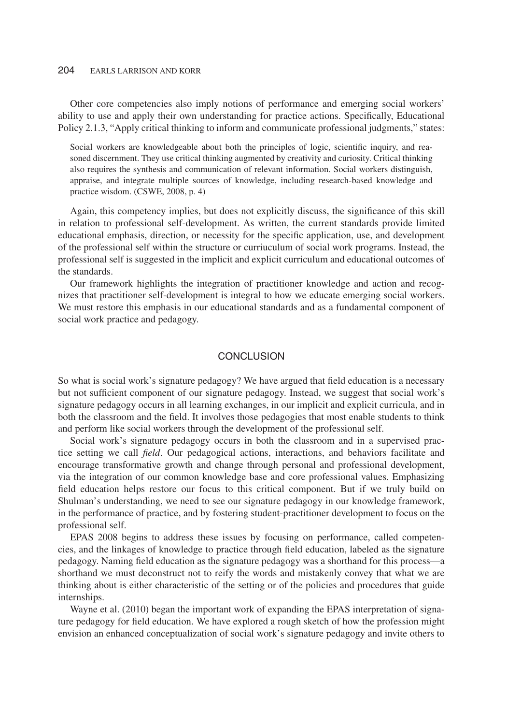Other core competencies also imply notions of performance and emerging social workers' ability to use and apply their own understanding for practice actions. Specifically, Educational Policy 2.1.3, "Apply critical thinking to inform and communicate professional judgments," states:

Social workers are knowledgeable about both the principles of logic, scientific inquiry, and reasoned discernment. They use critical thinking augmented by creativity and curiosity. Critical thinking also requires the synthesis and communication of relevant information. Social workers distinguish, appraise, and integrate multiple sources of knowledge, including research-based knowledge and practice wisdom. (CSWE, 2008, p. 4)

Again, this competency implies, but does not explicitly discuss, the significance of this skill in relation to professional self-development. As written, the current standards provide limited educational emphasis, direction, or necessity for the specific application, use, and development of the professional self within the structure or curriuculum of social work programs. Instead, the professional self is suggested in the implicit and explicit curriculum and educational outcomes of the standards.

Our framework highlights the integration of practitioner knowledge and action and recognizes that practitioner self-development is integral to how we educate emerging social workers. We must restore this emphasis in our educational standards and as a fundamental component of social work practice and pedagogy.

# **CONCLUSION**

So what is social work's signature pedagogy? We have argued that field education is a necessary but not sufficient component of our signature pedagogy. Instead, we suggest that social work's signature pedagogy occurs in all learning exchanges, in our implicit and explicit curricula, and in both the classroom and the field. It involves those pedagogies that most enable students to think and perform like social workers through the development of the professional self.

Social work's signature pedagogy occurs in both the classroom and in a supervised practice setting we call *field*. Our pedagogical actions, interactions, and behaviors facilitate and encourage transformative growth and change through personal and professional development, via the integration of our common knowledge base and core professional values. Emphasizing field education helps restore our focus to this critical component. But if we truly build on Shulman's understanding, we need to see our signature pedagogy in our knowledge framework, in the performance of practice, and by fostering student-practitioner development to focus on the professional self.

EPAS 2008 begins to address these issues by focusing on performance, called competencies, and the linkages of knowledge to practice through field education, labeled as the signature pedagogy. Naming field education as the signature pedagogy was a shorthand for this process—a shorthand we must deconstruct not to reify the words and mistakenly convey that what we are thinking about is either characteristic of the setting or of the policies and procedures that guide internships.

Wayne et al. (2010) began the important work of expanding the EPAS interpretation of signature pedagogy for field education. We have explored a rough sketch of how the profession might envision an enhanced conceptualization of social work's signature pedagogy and invite others to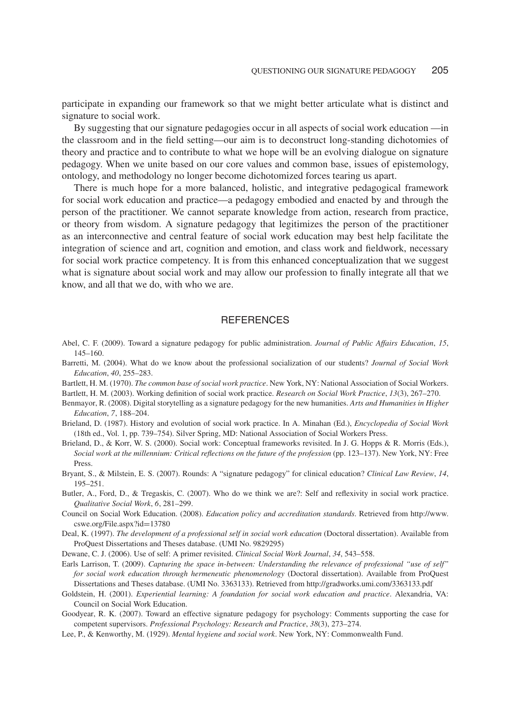participate in expanding our framework so that we might better articulate what is distinct and signature to social work.

By suggesting that our signature pedagogies occur in all aspects of social work education —in the classroom and in the field setting—our aim is to deconstruct long-standing dichotomies of theory and practice and to contribute to what we hope will be an evolving dialogue on signature pedagogy. When we unite based on our core values and common base, issues of epistemology, ontology, and methodology no longer become dichotomized forces tearing us apart.

There is much hope for a more balanced, holistic, and integrative pedagogical framework for social work education and practice—a pedagogy embodied and enacted by and through the person of the practitioner. We cannot separate knowledge from action, research from practice, or theory from wisdom. A signature pedagogy that legitimizes the person of the practitioner as an interconnective and central feature of social work education may best help facilitate the integration of science and art, cognition and emotion, and class work and fieldwork, necessary for social work practice competency. It is from this enhanced conceptualization that we suggest what is signature about social work and may allow our profession to finally integrate all that we know, and all that we do, with who we are.

#### **REFERENCES**

- Abel, C. F. (2009). Toward a signature pedagogy for public administration. *Journal of Public Affairs Education*, *15*, 145–160.
- Barretti, M. (2004). What do we know about the professional socialization of our students? *Journal of Social Work Education*, *40*, 255–283.
- Bartlett, H. M. (1970). *The common base of social work practice*. New York, NY: National Association of Social Workers. Bartlett, H. M. (2003). Working definition of social work practice. *Research on Social Work Practice*, *13*(3), 267–270.
- Benmayor, R. (2008). Digital storytelling as a signature pedagogy for the new humanities. *Arts and Humanities in Higher Education*, *7*, 188–204.
- Brieland, D. (1987). History and evolution of social work practice. In A. Minahan (Ed.), *Encyclopedia of Social Work* (18th ed., Vol. 1, pp. 739–754). Silver Spring, MD: National Association of Social Workers Press.
- Brieland, D., & Korr, W. S. (2000). Social work: Conceptual frameworks revisited. In J. G. Hopps & R. Morris (Eds.), *Social work at the millennium: Critical reflections on the future of the profession* (pp. 123–137). New York, NY: Free Press.
- Bryant, S., & Milstein, E. S. (2007). Rounds: A "signature pedagogy" for clinical education? *Clinical Law Review*, *14*, 195–251.
- Butler, A., Ford, D., & Tregaskis, C. (2007). Who do we think we are?: Self and reflexivity in social work practice. *Qualitative Social Work*, *6*, 281–299.
- Council on Social Work Education. (2008). *Education policy and accreditation standards*. Retrieved from http://www. cswe.org/File.aspx?id=13780
- Deal, K. (1997). *The development of a professional self in social work education* (Doctoral dissertation). Available from ProQuest Dissertations and Theses database. (UMI No. 9829295)

Dewane, C. J. (2006). Use of self: A primer revisited. *Clinical Social Work Journal*, *34*, 543–558.

- Earls Larrison, T. (2009). *Capturing the space in-between: Understanding the relevance of professional "use of self" for social work education through hermeneutic phenomenology* (Doctoral dissertation). Available from ProQuest Dissertations and Theses database. (UMI No. 3363133). Retrieved from http://gradworks.umi.com/3363133.pdf
- Goldstein, H. (2001). *Experiential learning: A foundation for social work education and practice*. Alexandria, VA: Council on Social Work Education.
- Goodyear, R. K. (2007). Toward an effective signature pedagogy for psychology: Comments supporting the case for competent supervisors. *Professional Psychology: Research and Practice*, *38*(3), 273–274.
- Lee, P., & Kenworthy, M. (1929). *Mental hygiene and social work*. New York, NY: Commonwealth Fund.